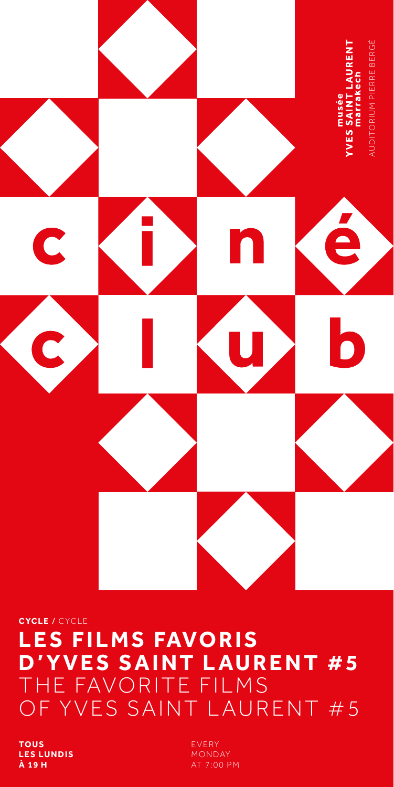

## CYCLE / CYCLE **LES FILMS FAVORIS D'YVES SAINT LAURENT #5** THE FAVORITE FILMS OF YVES SAINT LAURENT #5

**TOUS LES LUNDIS** À 19 H

EVERY MONDAY AT 7:00 PM